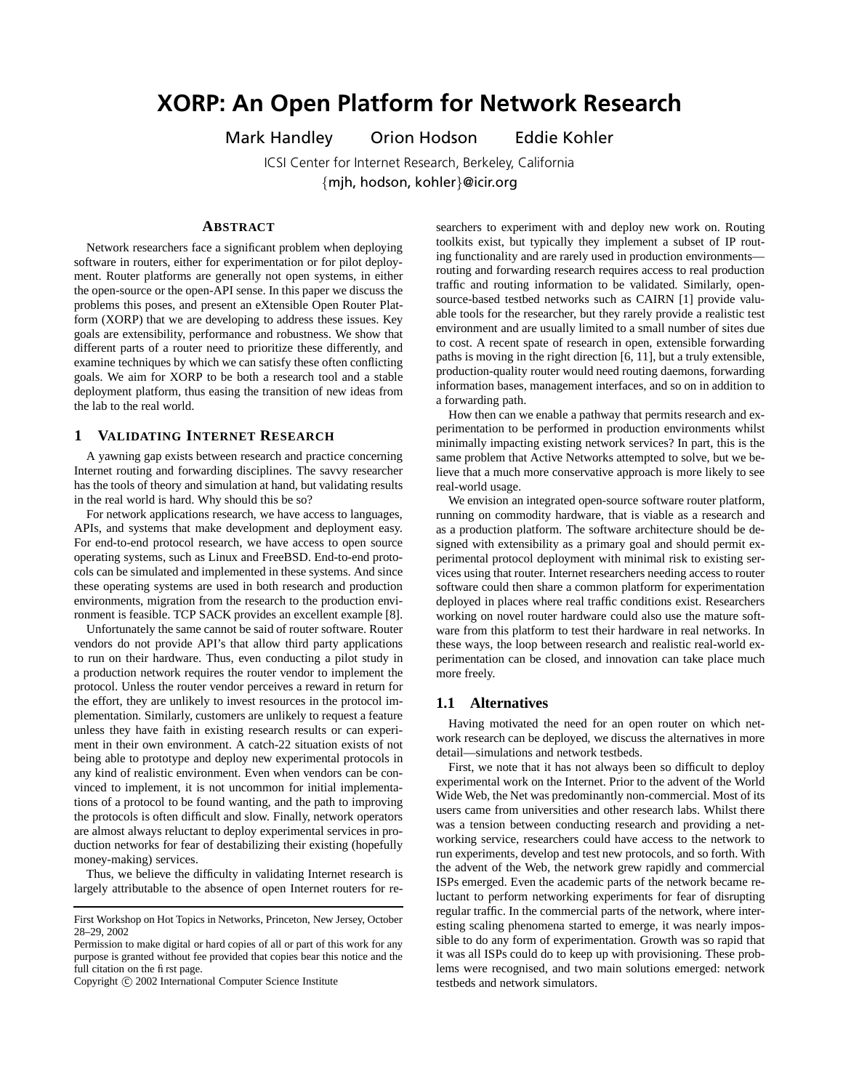# **XORP: An Open Platform for Network Research**

Mark Handley Orion Hodson Eddie Kohler

ICSI Center for Internet Research, Berkeley, California {mjh, hodson, kohler}@icir.org

# **ABSTRACT**

Network researchers face a significant problem when deploying software in routers, either for experimentation or for pilot deployment. Router platforms are generally not open systems, in either the open-source or the open-API sense. In this paper we discuss the problems this poses, and present an eXtensible Open Router Platform (XORP) that we are developing to address these issues. Key goals are extensibility, performance and robustness. We show that different parts of a router need to prioritize these differently, and examine techniques by which we can satisfy these often conflicting goals. We aim for XORP to be both a research tool and a stable deployment platform, thus easing the transition of new ideas from the lab to the real world.

#### **1 VALIDATING INTERNET RESEARCH**

A yawning gap exists between research and practice concerning Internet routing and forwarding disciplines. The savvy researcher has the tools of theory and simulation at hand, but validating results in the real world is hard. Why should this be so?

For network applications research, we have access to languages, APIs, and systems that make development and deployment easy. For end-to-end protocol research, we have access to open source operating systems, such as Linux and FreeBSD. End-to-end protocols can be simulated and implemented in these systems. And since these operating systems are used in both research and production environments, migration from the research to the production environment is feasible. TCP SACK provides an excellent example [8].

Unfortunately the same cannot be said of router software. Router vendors do not provide API's that allow third party applications to run on their hardware. Thus, even conducting a pilot study in a production network requires the router vendor to implement the protocol. Unless the router vendor perceives a reward in return for the effort, they are unlikely to invest resources in the protocol implementation. Similarly, customers are unlikely to request a feature unless they have faith in existing research results or can experiment in their own environment. A catch-22 situation exists of not being able to prototype and deploy new experimental protocols in any kind of realistic environment. Even when vendors can be convinced to implement, it is not uncommon for initial implementations of a protocol to be found wanting, and the path to improving the protocols is often difficult and slow. Finally, network operators are almost always reluctant to deploy experimental services in production networks for fear of destabilizing their existing (hopefully money-making) services.

Thus, we believe the difficulty in validating Internet research is largely attributable to the absence of open Internet routers for re-

Copyright  $\odot$  2002 International Computer Science Institute

searchers to experiment with and deploy new work on. Routing toolkits exist, but typically they implement a subset of IP routing functionality and are rarely used in production environments routing and forwarding research requires access to real production traffic and routing information to be validated. Similarly, opensource-based testbed networks such as CAIRN [1] provide valuable tools for the researcher, but they rarely provide a realistic test environment and are usually limited to a small number of sites due to cost. A recent spate of research in open, extensible forwarding paths is moving in the right direction [6, 11], but a truly extensible, production-quality router would need routing daemons, forwarding information bases, management interfaces, and so on in addition to a forwarding path.

How then can we enable a pathway that permits research and experimentation to be performed in production environments whilst minimally impacting existing network services? In part, this is the same problem that Active Networks attempted to solve, but we believe that a much more conservative approach is more likely to see real-world usage.

We envision an integrated open-source software router platform, running on commodity hardware, that is viable as a research and as a production platform. The software architecture should be designed with extensibility as a primary goal and should permit experimental protocol deployment with minimal risk to existing services using that router. Internet researchers needing access to router software could then share a common platform for experimentation deployed in places where real traffic conditions exist. Researchers working on novel router hardware could also use the mature software from this platform to test their hardware in real networks. In these ways, the loop between research and realistic real-world experimentation can be closed, and innovation can take place much more freely.

#### **1.1 Alternatives**

Having motivated the need for an open router on which network research can be deployed, we discuss the alternatives in more detail—simulations and network testbeds.

First, we note that it has not always been so difficult to deploy experimental work on the Internet. Prior to the advent of the World Wide Web, the Net was predominantly non-commercial. Most of its users came from universities and other research labs. Whilst there was a tension between conducting research and providing a networking service, researchers could have access to the network to run experiments, develop and test new protocols, and so forth. With the advent of the Web, the network grew rapidly and commercial ISPs emerged. Even the academic parts of the network became reluctant to perform networking experiments for fear of disrupting regular traffic. In the commercial parts of the network, where interesting scaling phenomena started to emerge, it was nearly impossible to do any form of experimentation. Growth was so rapid that it was all ISPs could do to keep up with provisioning. These problems were recognised, and two main solutions emerged: network testbeds and network simulators.

First Workshop on Hot Topics in Networks, Princeton, New Jersey, October 28–29, 2002

Permission to make digital or hard copies of all or part of this work for any purpose is granted without fee provided that copies bear this notice and the full citation on the first page.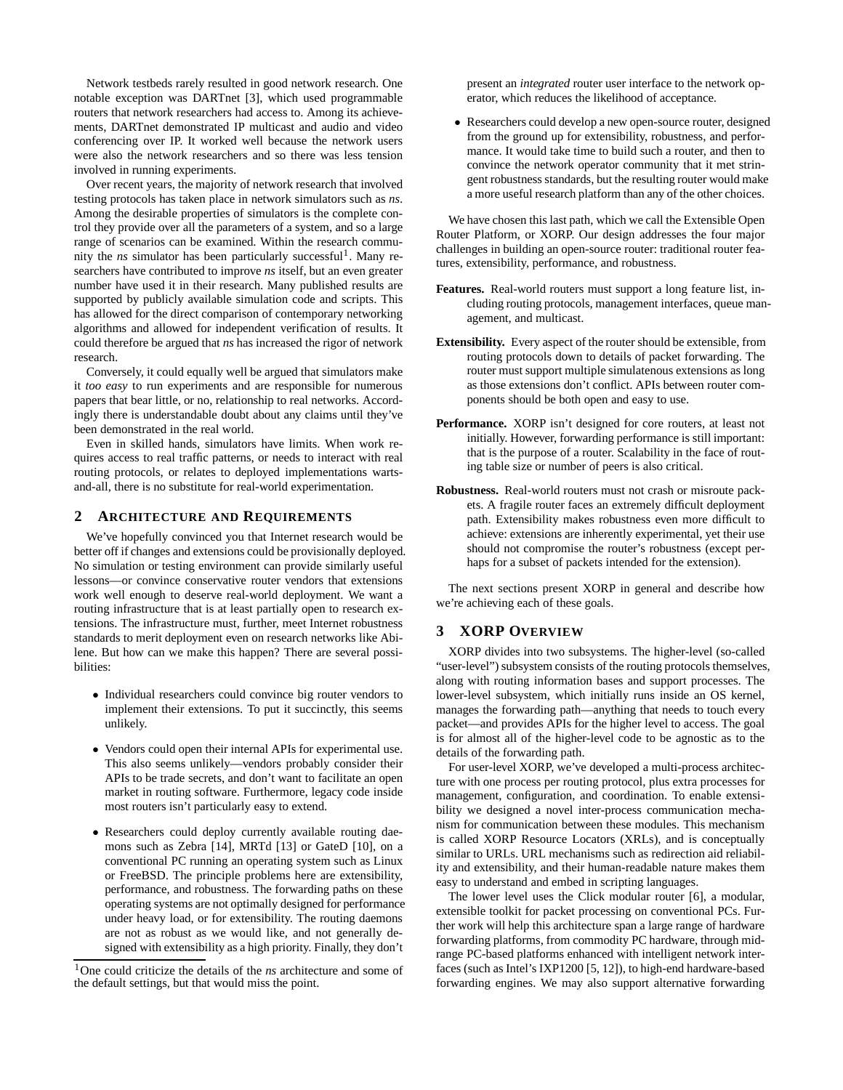Network testbeds rarely resulted in good network research. One notable exception was DARTnet [3], which used programmable routers that network researchers had access to. Among its achievements, DARTnet demonstrated IP multicast and audio and video conferencing over IP. It worked well because the network users were also the network researchers and so there was less tension involved in running experiments.

Over recent years, the majority of network research that involved testing protocols has taken place in network simulators such as *ns*. Among the desirable properties of simulators is the complete control they provide over all the parameters of a system, and so a large range of scenarios can be examined. Within the research community the  $ns$  simulator has been particularly successful<sup>1</sup>. Many researchers have contributed to improve *ns* itself, but an even greater number have used it in their research. Many published results are supported by publicly available simulation code and scripts. This has allowed for the direct comparison of contemporary networking algorithms and allowed for independent verification of results. It could therefore be argued that *ns* has increased the rigor of network research.

Conversely, it could equally well be argued that simulators make it *too easy* to run experiments and are responsible for numerous papers that bear little, or no, relationship to real networks. Accordingly there is understandable doubt about any claims until they've been demonstrated in the real world.

Even in skilled hands, simulators have limits. When work requires access to real traffic patterns, or needs to interact with real routing protocols, or relates to deployed implementations wartsand-all, there is no substitute for real-world experimentation.

#### **2 ARCHITECTURE AND REQUIREMENTS**

We've hopefully convinced you that Internet research would be better off if changes and extensions could be provisionally deployed. No simulation or testing environment can provide similarly useful lessons—or convince conservative router vendors that extensions work well enough to deserve real-world deployment. We want a routing infrastructure that is at least partially open to research extensions. The infrastructure must, further, meet Internet robustness standards to merit deployment even on research networks like Abilene. But how can we make this happen? There are several possibilities:

- Individual researchers could convince big router vendors to implement their extensions. To put it succinctly, this seems unlikely.
- Vendors could open their internal APIs for experimental use. This also seems unlikely—vendors probably consider their APIs to be trade secrets, and don't want to facilitate an open market in routing software. Furthermore, legacy code inside most routers isn't particularly easy to extend.
- Researchers could deploy currently available routing daemons such as Zebra [14], MRTd [13] or GateD [10], on a conventional PC running an operating system such as Linux or FreeBSD. The principle problems here are extensibility, performance, and robustness. The forwarding paths on these operating systems are not optimally designed for performance under heavy load, or for extensibility. The routing daemons are not as robust as we would like, and not generally designed with extensibility as a high priority. Finally, they don't

present an *integrated* router user interface to the network operator, which reduces the likelihood of acceptance.

• Researchers could develop a new open-source router, designed from the ground up for extensibility, robustness, and performance. It would take time to build such a router, and then to convince the network operator community that it met stringent robustness standards, but the resulting router would make a more useful research platform than any of the other choices.

We have chosen this last path, which we call the Extensible Open Router Platform, or XORP. Our design addresses the four major challenges in building an open-source router: traditional router features, extensibility, performance, and robustness.

- **Features.** Real-world routers must support a long feature list, including routing protocols, management interfaces, queue management, and multicast.
- **Extensibility.** Every aspect of the router should be extensible, from routing protocols down to details of packet forwarding. The router must support multiple simulatenous extensions as long as those extensions don't conflict. APIs between router components should be both open and easy to use.
- **Performance.** XORP isn't designed for core routers, at least not initially. However, forwarding performance is still important: that is the purpose of a router. Scalability in the face of routing table size or number of peers is also critical.
- **Robustness.** Real-world routers must not crash or misroute packets. A fragile router faces an extremely difficult deployment path. Extensibility makes robustness even more difficult to achieve: extensions are inherently experimental, yet their use should not compromise the router's robustness (except perhaps for a subset of packets intended for the extension).

The next sections present XORP in general and describe how we're achieving each of these goals.

#### **3 XORP OVERVIEW**

XORP divides into two subsystems. The higher-level (so-called "user-level") subsystem consists of the routing protocols themselves, along with routing information bases and support processes. The lower-level subsystem, which initially runs inside an OS kernel, manages the forwarding path—anything that needs to touch every packet—and provides APIs for the higher level to access. The goal is for almost all of the higher-level code to be agnostic as to the details of the forwarding path.

For user-level XORP, we've developed a multi-process architecture with one process per routing protocol, plus extra processes for management, configuration, and coordination. To enable extensibility we designed a novel inter-process communication mechanism for communication between these modules. This mechanism is called XORP Resource Locators (XRLs), and is conceptually similar to URLs. URL mechanisms such as redirection aid reliability and extensibility, and their human-readable nature makes them easy to understand and embed in scripting languages.

The lower level uses the Click modular router [6], a modular, extensible toolkit for packet processing on conventional PCs. Further work will help this architecture span a large range of hardware forwarding platforms, from commodity PC hardware, through midrange PC-based platforms enhanced with intelligent network interfaces (such as Intel's IXP1200 [5, 12]), to high-end hardware-based forwarding engines. We may also support alternative forwarding

<sup>1</sup>One could criticize the details of the *ns* architecture and some of the default settings, but that would miss the point.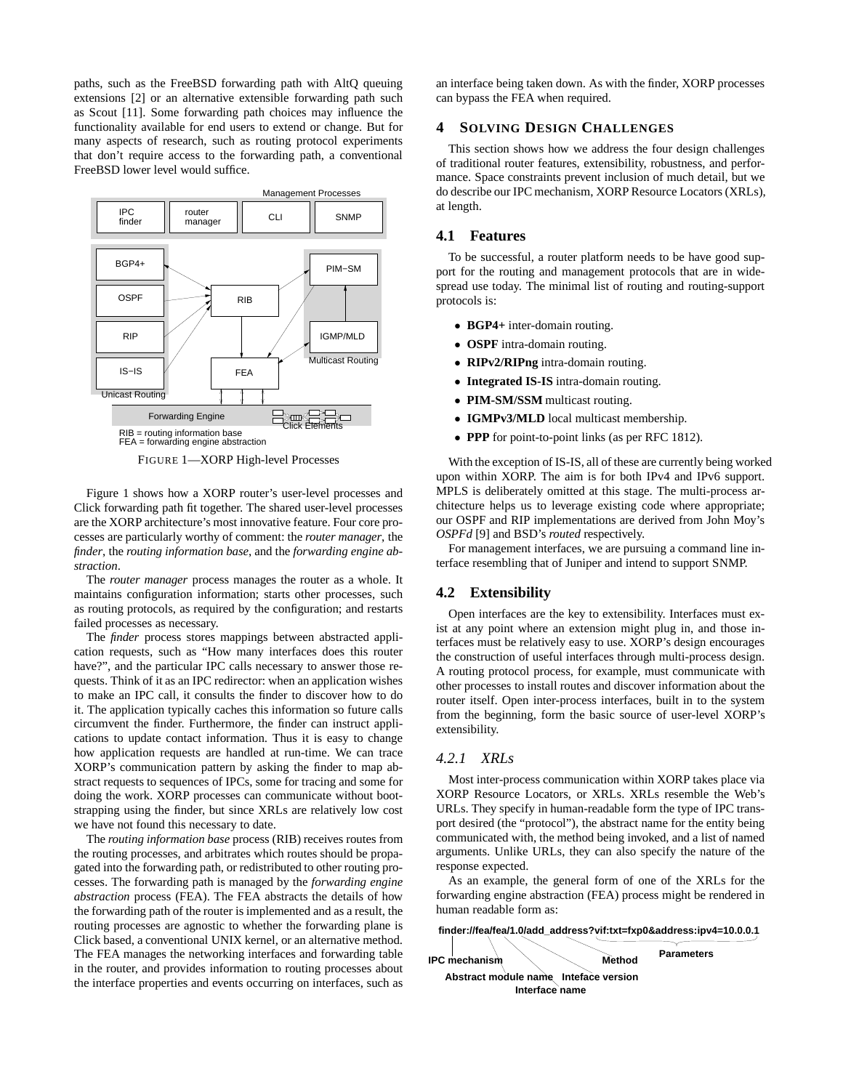paths, such as the FreeBSD forwarding path with AltQ queuing extensions [2] or an alternative extensible forwarding path such as Scout [11]. Some forwarding path choices may influence the functionality available for end users to extend or change. But for many aspects of research, such as routing protocol experiments that don't require access to the forwarding path, a conventional FreeBSD lower level would suffice.



FIGURE 1—XORP High-level Processes

Figure 1 shows how a XORP router's user-level processes and Click forwarding path fit together. The shared user-level processes are the XORP architecture's most innovative feature. Four core processes are particularly worthy of comment: the *router manager*, the *finder*, the *routing information base*, and the *forwarding engine abstraction*.

The *router manager* process manages the router as a whole. It maintains configuration information; starts other processes, such as routing protocols, as required by the configuration; and restarts failed processes as necessary.

The *finder* process stores mappings between abstracted application requests, such as "How many interfaces does this router have?", and the particular IPC calls necessary to answer those requests. Think of it as an IPC redirector: when an application wishes to make an IPC call, it consults the finder to discover how to do it. The application typically caches this information so future calls circumvent the finder. Furthermore, the finder can instruct applications to update contact information. Thus it is easy to change how application requests are handled at run-time. We can trace XORP's communication pattern by asking the finder to map abstract requests to sequences of IPCs, some for tracing and some for doing the work. XORP processes can communicate without bootstrapping using the finder, but since XRLs are relatively low cost we have not found this necessary to date.

The *routing information base* process (RIB) receives routes from the routing processes, and arbitrates which routes should be propagated into the forwarding path, or redistributed to other routing processes. The forwarding path is managed by the *forwarding engine abstraction* process (FEA). The FEA abstracts the details of how the forwarding path of the router is implemented and as a result, the routing processes are agnostic to whether the forwarding plane is Click based, a conventional UNIX kernel, or an alternative method. The FEA manages the networking interfaces and forwarding table in the router, and provides information to routing processes about the interface properties and events occurring on interfaces, such as

an interface being taken down. As with the finder, XORP processes can bypass the FEA when required.

## **4 SOLVING DESIGN CHALLENGES**

This section shows how we address the four design challenges of traditional router features, extensibility, robustness, and performance. Space constraints prevent inclusion of much detail, but we do describe our IPC mechanism, XORP Resource Locators (XRLs), at length.

#### **4.1 Features**

To be successful, a router platform needs to be have good support for the routing and management protocols that are in widespread use today. The minimal list of routing and routing-support protocols is:

- **BGP4+** inter-domain routing.
- **OSPF** intra-domain routing.
- **RIPv2/RIPng** intra-domain routing.
- **Integrated IS-IS** intra-domain routing.
- **PIM-SM/SSM** multicast routing.
- **IGMPv3/MLD** local multicast membership.
- **PPP** for point-to-point links (as per RFC 1812).

With the exception of IS-IS, all of these are currently being worked upon within XORP. The aim is for both IPv4 and IPv6 support. MPLS is deliberately omitted at this stage. The multi-process architecture helps us to leverage existing code where appropriate; our OSPF and RIP implementations are derived from John Moy's *OSPFd* [9] and BSD's *routed* respectively.

For management interfaces, we are pursuing a command line interface resembling that of Juniper and intend to support SNMP.

## **4.2 Extensibility**

Open interfaces are the key to extensibility. Interfaces must exist at any point where an extension might plug in, and those interfaces must be relatively easy to use. XORP's design encourages the construction of useful interfaces through multi-process design. A routing protocol process, for example, must communicate with other processes to install routes and discover information about the router itself. Open inter-process interfaces, built in to the system from the beginning, form the basic source of user-level XORP's extensibility.

## *4.2.1 XRLs*

Most inter-process communication within XORP takes place via XORP Resource Locators, or XRLs. XRLs resemble the Web's URLs. They specify in human-readable form the type of IPC transport desired (the "protocol"), the abstract name for the entity being communicated with, the method being invoked, and a list of named arguments. Unlike URLs, they can also specify the nature of the response expected.

As an example, the general form of one of the XRLs for the forwarding engine abstraction (FEA) process might be rendered in human readable form as:

**finder://fea/fea/1.0/add\_address?vif:txt=fxp0&address:ipv4=10.0.0.1**

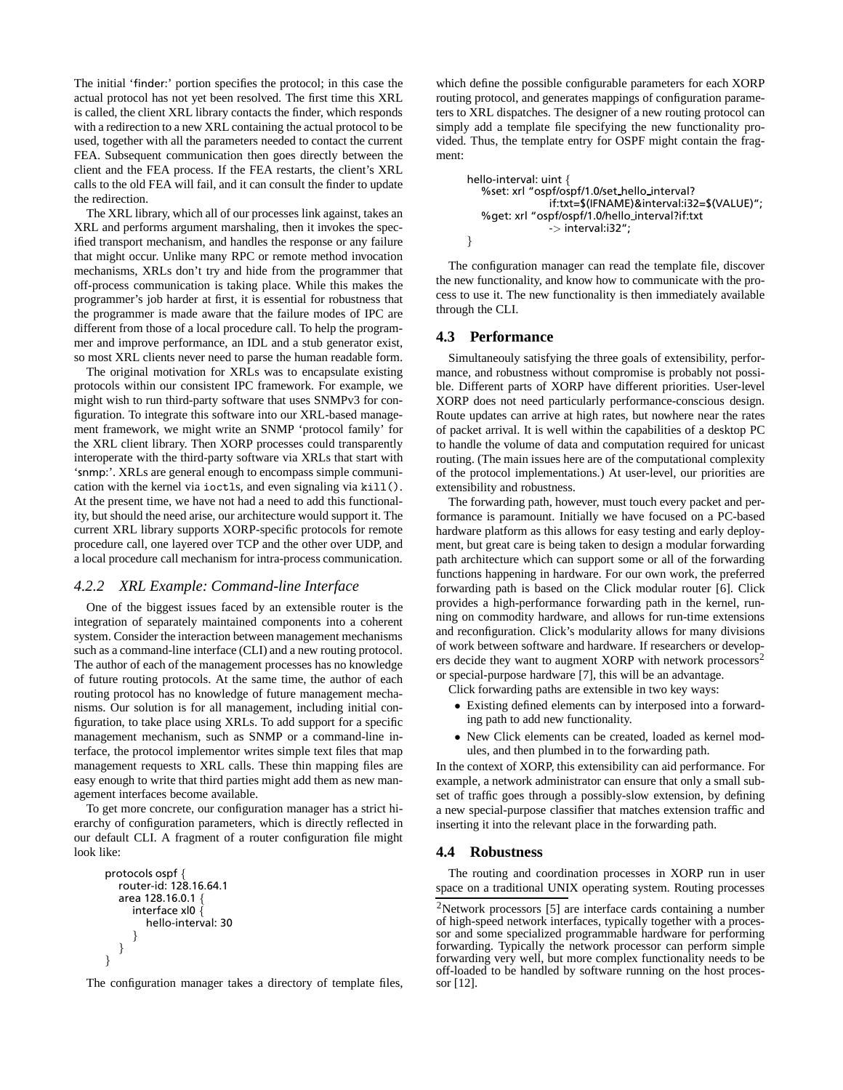The initial 'finder:' portion specifies the protocol; in this case the actual protocol has not yet been resolved. The first time this XRL is called, the client XRL library contacts the finder, which responds with a redirection to a new XRL containing the actual protocol to be used, together with all the parameters needed to contact the current FEA. Subsequent communication then goes directly between the client and the FEA process. If the FEA restarts, the client's XRL calls to the old FEA will fail, and it can consult the finder to update the redirection.

The XRL library, which all of our processes link against, takes an XRL and performs argument marshaling, then it invokes the specified transport mechanism, and handles the response or any failure that might occur. Unlike many RPC or remote method invocation mechanisms, XRLs don't try and hide from the programmer that off-process communication is taking place. While this makes the programmer's job harder at first, it is essential for robustness that the programmer is made aware that the failure modes of IPC are different from those of a local procedure call. To help the programmer and improve performance, an IDL and a stub generator exist, so most XRL clients never need to parse the human readable form.

The original motivation for XRLs was to encapsulate existing protocols within our consistent IPC framework. For example, we might wish to run third-party software that uses SNMPv3 for configuration. To integrate this software into our XRL-based management framework, we might write an SNMP 'protocol family' for the XRL client library. Then XORP processes could transparently interoperate with the third-party software via XRLs that start with 'snmp:'. XRLs are general enough to encompass simple communication with the kernel via ioctls, and even signaling via kill(). At the present time, we have not had a need to add this functionality, but should the need arise, our architecture would support it. The current XRL library supports XORP-specific protocols for remote procedure call, one layered over TCP and the other over UDP, and a local procedure call mechanism for intra-process communication.

#### *4.2.2 XRL Example: Command-line Interface*

One of the biggest issues faced by an extensible router is the integration of separately maintained components into a coherent system. Consider the interaction between management mechanisms such as a command-line interface (CLI) and a new routing protocol. The author of each of the management processes has no knowledge of future routing protocols. At the same time, the author of each routing protocol has no knowledge of future management mechanisms. Our solution is for all management, including initial configuration, to take place using XRLs. To add support for a specific management mechanism, such as SNMP or a command-line interface, the protocol implementor writes simple text files that map management requests to XRL calls. These thin mapping files are easy enough to write that third parties might add them as new management interfaces become available.

To get more concrete, our configuration manager has a strict hierarchy of configuration parameters, which is directly reflected in our default CLI. A fragment of a router configuration file might look like:

```
protocols ospf {
   router-id: 128.16.64.1
   area 128.16.0.1 {
      interface xl0 {
         hello-interval: 30
      }
  }
}
```
The configuration manager takes a directory of template files,

which define the possible configurable parameters for each XORP routing protocol, and generates mappings of configuration parameters to XRL dispatches. The designer of a new routing protocol can simply add a template file specifying the new functionality provided. Thus, the template entry for OSPF might contain the fragment:

```
hello-interval: uint {
   %set: xrl "ospf/ospf/1.0/set hello interval?
                 if:txt=$(IFNAME)&interval:i32=$(VALUE)";
   %get: xrl "ospf/ospf/1.0/hello interval?if:txt
                 -> interval:i32";
}
```
The configuration manager can read the template file, discover the new functionality, and know how to communicate with the process to use it. The new functionality is then immediately available through the CLI.

## **4.3 Performance**

Simultaneouly satisfying the three goals of extensibility, performance, and robustness without compromise is probably not possible. Different parts of XORP have different priorities. User-level XORP does not need particularly performance-conscious design. Route updates can arrive at high rates, but nowhere near the rates of packet arrival. It is well within the capabilities of a desktop PC to handle the volume of data and computation required for unicast routing. (The main issues here are of the computational complexity of the protocol implementations.) At user-level, our priorities are extensibility and robustness.

The forwarding path, however, must touch every packet and performance is paramount. Initially we have focused on a PC-based hardware platform as this allows for easy testing and early deployment, but great care is being taken to design a modular forwarding path architecture which can support some or all of the forwarding functions happening in hardware. For our own work, the preferred forwarding path is based on the Click modular router [6]. Click provides a high-performance forwarding path in the kernel, running on commodity hardware, and allows for run-time extensions and reconfiguration. Click's modularity allows for many divisions of work between software and hardware. If researchers or developers decide they want to augment XORP with network processors<sup>2</sup> or special-purpose hardware [7], this will be an advantage.

Click forwarding paths are extensible in two key ways:

- Existing defined elements can by interposed into a forwarding path to add new functionality.
- New Click elements can be created, loaded as kernel modules, and then plumbed in to the forwarding path.

In the context of XORP, this extensibility can aid performance. For example, a network administrator can ensure that only a small subset of traffic goes through a possibly-slow extension, by defining a new special-purpose classifier that matches extension traffic and inserting it into the relevant place in the forwarding path.

## **4.4 Robustness**

The routing and coordination processes in XORP run in user space on a traditional UNIX operating system. Routing processes

<sup>2</sup>Network processors [5] are interface cards containing a number of high-speed network interfaces, typically together with a processor and some specialized programmable hardware for performing forwarding. Typically the network processor can perform simple forwarding very well, but more complex functionality needs to be off-loaded to be handled by software running on the host processor [12].